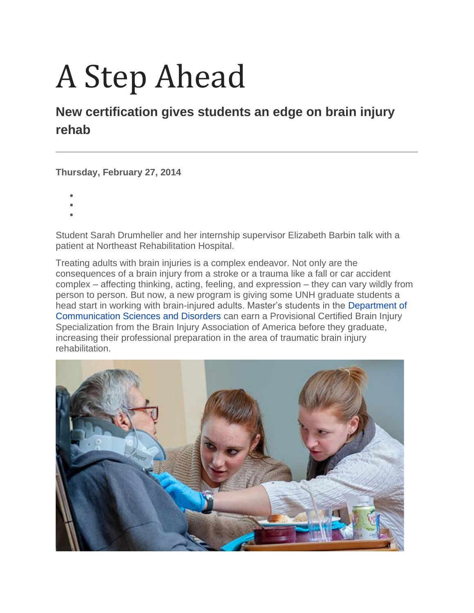## A Step Ahead

## **New certification gives students an edge on brain injury rehab**

**Thursday, February 27, 2014**

- •
- •
- •

Student Sarah Drumheller and her internship supervisor Elizabeth Barbin talk with a patient at Northeast Rehabilitation Hospital.

Treating adults with brain injuries is a complex endeavor. Not only are the consequences of a brain injury from a stroke or a trauma like a fall or car accident complex – affecting thinking, acting, feeling, and expression – they can vary wildly from person to person. But now, a new program is giving some UNH graduate students a head start in working with brain-injured adults. Master's students in the [Department of](http://www.chhs.unh.edu/csd)  [Communication Sciences and Disorders](http://www.chhs.unh.edu/csd) can earn a Provisional Certified Brain Injury Specialization from the Brain Injury Association of America before they graduate, increasing their professional preparation in the area of traumatic brain injury rehabilitation.

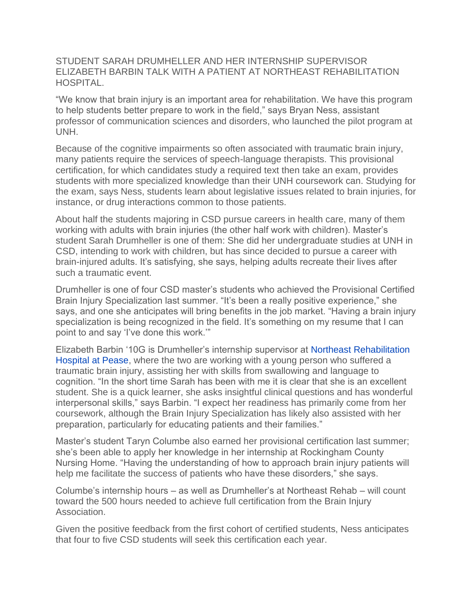STUDENT SARAH DRUMHELLER AND HER INTERNSHIP SUPERVISOR ELIZABETH BARBIN TALK WITH A PATIENT AT NORTHEAST REHABILITATION HOSPITAL.

"We know that brain injury is an important area for rehabilitation. We have this program to help students better prepare to work in the field," says Bryan Ness, assistant professor of communication sciences and disorders, who launched the pilot program at UNH.

Because of the cognitive impairments so often associated with traumatic brain injury, many patients require the services of speech-language therapists. This provisional certification, for which candidates study a required text then take an exam, provides students with more specialized knowledge than their UNH coursework can. Studying for the exam, says Ness, students learn about legislative issues related to brain injuries, for instance, or drug interactions common to those patients.

About half the students majoring in CSD pursue careers in health care, many of them working with adults with brain injuries (the other half work with children). Master's student Sarah Drumheller is one of them: She did her undergraduate studies at UNH in CSD, intending to work with children, but has since decided to pursue a career with brain-injured adults. It's satisfying, she says, helping adults recreate their lives after such a traumatic event.

Drumheller is one of four CSD master's students who achieved the Provisional Certified Brain Injury Specialization last summer. "It's been a really positive experience," she says, and one she anticipates will bring benefits in the job market. "Having a brain injury specialization is being recognized in the field. It's something on my resume that I can point to and say 'I've done this work.'"

Elizabeth Barbin '10G is Drumheller's internship supervisor at [Northeast Rehabilitation](http://www.northeastrehab.com/)  [Hospital at Pease,](http://www.northeastrehab.com/) where the two are working with a young person who suffered a traumatic brain injury, assisting her with skills from swallowing and language to cognition. "In the short time Sarah has been with me it is clear that she is an excellent student. She is a quick learner, she asks insightful clinical questions and has wonderful interpersonal skills," says Barbin. "I expect her readiness has primarily come from her coursework, although the Brain Injury Specialization has likely also assisted with her preparation, particularly for educating patients and their families."

Master's student Taryn Columbe also earned her provisional certification last summer; she's been able to apply her knowledge in her internship at Rockingham County Nursing Home. "Having the understanding of how to approach brain injury patients will help me facilitate the success of patients who have these disorders," she says.

Columbe's internship hours – as well as Drumheller's at Northeast Rehab – will count toward the 500 hours needed to achieve full certification from the Brain Injury Association.

Given the positive feedback from the first cohort of certified students, Ness anticipates that four to five CSD students will seek this certification each year.